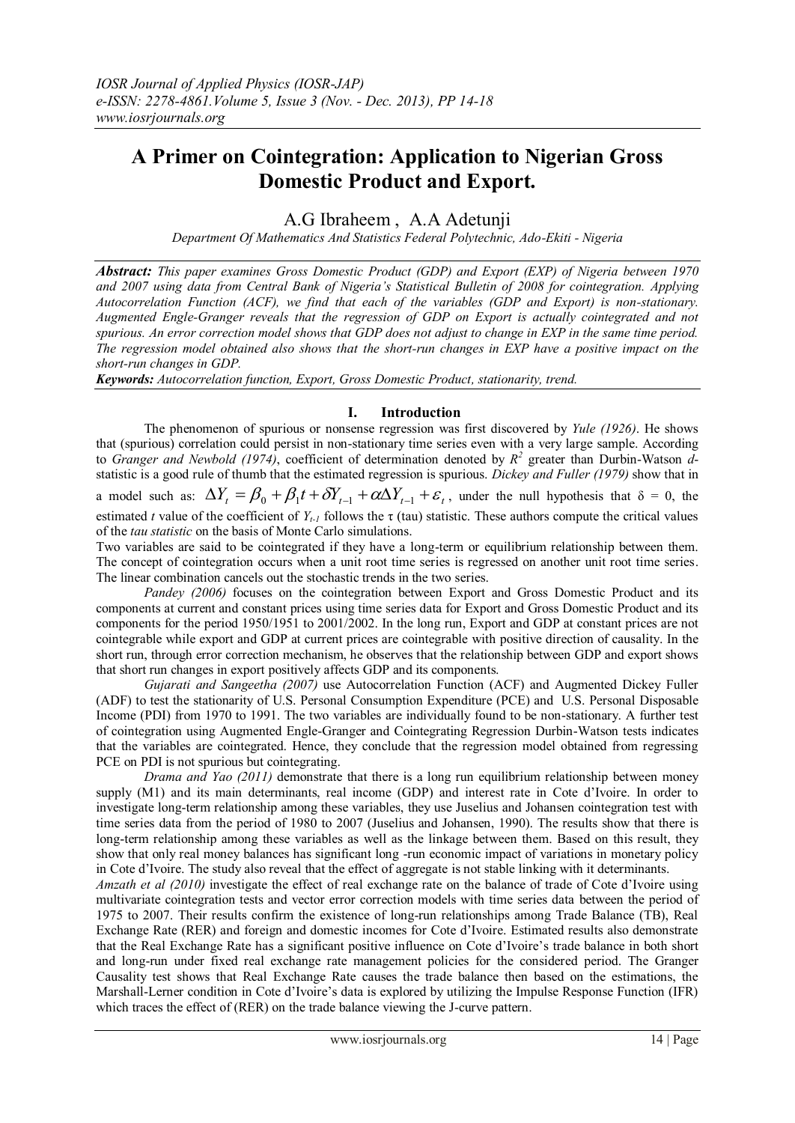# **A Primer on Cointegration: Application to Nigerian Gross Domestic Product and Export.**

A.G Ibraheem , A.A Adetunji

*Department Of Mathematics And Statistics Federal Polytechnic, Ado-Ekiti - Nigeria*

*Abstract: This paper examines Gross Domestic Product (GDP) and Export (EXP) of Nigeria between 1970 and 2007 using data from Central Bank of Nigeria's Statistical Bulletin of 2008 for cointegration. Applying Autocorrelation Function (ACF), we find that each of the variables (GDP and Export) is non-stationary. Augmented Engle-Granger reveals that the regression of GDP on Export is actually cointegrated and not spurious. An error correction model shows that GDP does not adjust to change in EXP in the same time period. The regression model obtained also shows that the short-run changes in EXP have a positive impact on the short-run changes in GDP.* 

*Keywords: Autocorrelation function, Export, Gross Domestic Product, stationarity, trend.*

# **I. Introduction**

The phenomenon of spurious or nonsense regression was first discovered by *Yule (1926)*. He shows that (spurious) correlation could persist in non-stationary time series even with a very large sample. According to *Granger and Newbold (1974)*, coefficient of determination denoted by *R 2* greater than Durbin-Watson *d*statistic is a good rule of thumb that the estimated regression is spurious. *Dickey and Fuller (1979)* show that in

a model such as:  $\Delta Y_t = \beta_0 + \beta_1 t + \delta Y_{t-1} + \alpha \Delta Y_{t-1} + \varepsilon_t$ , under the null hypothesis that  $\delta = 0$ , the estimated *t* value of the coefficient of  $Y_{t-1}$  follows the  $\tau$  (tau) statistic. These authors compute the critical values of the *tau statistic* on the basis of Monte Carlo simulations.

Two variables are said to be cointegrated if they have a long-term or equilibrium relationship between them. The concept of cointegration occurs when a unit root time series is regressed on another unit root time series. The linear combination cancels out the stochastic trends in the two series.

*Pandey (2006)* focuses on the cointegration between Export and Gross Domestic Product and its components at current and constant prices using time series data for Export and Gross Domestic Product and its components for the period 1950/1951 to 2001/2002. In the long run, Export and GDP at constant prices are not cointegrable while export and GDP at current prices are cointegrable with positive direction of causality. In the short run, through error correction mechanism, he observes that the relationship between GDP and export shows that short run changes in export positively affects GDP and its components.

*Gujarati and Sangeetha (2007)* use Autocorrelation Function (ACF) and Augmented Dickey Fuller (ADF) to test the stationarity of U.S. Personal Consumption Expenditure (PCE) and U.S. Personal Disposable Income (PDI) from 1970 to 1991. The two variables are individually found to be non-stationary. A further test of cointegration using Augmented Engle-Granger and Cointegrating Regression Durbin-Watson tests indicates that the variables are cointegrated. Hence, they conclude that the regression model obtained from regressing PCE on PDI is not spurious but cointegrating.

*Drama and Yao (2011)* demonstrate that there is a long run equilibrium relationship between money supply (M1) and its main determinants, real income (GDP) and interest rate in Cote d'Ivoire. In order to investigate long-term relationship among these variables, they use Juselius and Johansen cointegration test with time series data from the period of 1980 to 2007 (Juselius and Johansen, 1990). The results show that there is long-term relationship among these variables as well as the linkage between them. Based on this result, they show that only real money balances has significant long -run economic impact of variations in monetary policy in Cote d'Ivoire. The study also reveal that the effect of aggregate is not stable linking with it determinants.

*[Amzath](javascript:openAuthorsDetails() et al (2010)* investigate the effect of real exchange rate on the balance of trade of Cote d'Ivoire using multivariate cointegration tests and vector error correction models with time series data between the period of 1975 to 2007. Their results confirm the existence of long-run relationships among Trade Balance (TB), Real Exchange Rate (RER) and foreign and domestic incomes for Cote d'Ivoire. Estimated results also demonstrate that the Real Exchange Rate has a significant positive influence on Cote d'Ivoire's trade balance in both short and long-run under fixed real exchange rate management policies for the considered period. The Granger Causality test shows that Real Exchange Rate causes the trade balance then based on the estimations, the Marshall-Lerner condition in Cote d'Ivoire's data is explored by utilizing the Impulse Response Function (IFR) which traces the effect of (RER) on the trade balance viewing the J-curve pattern.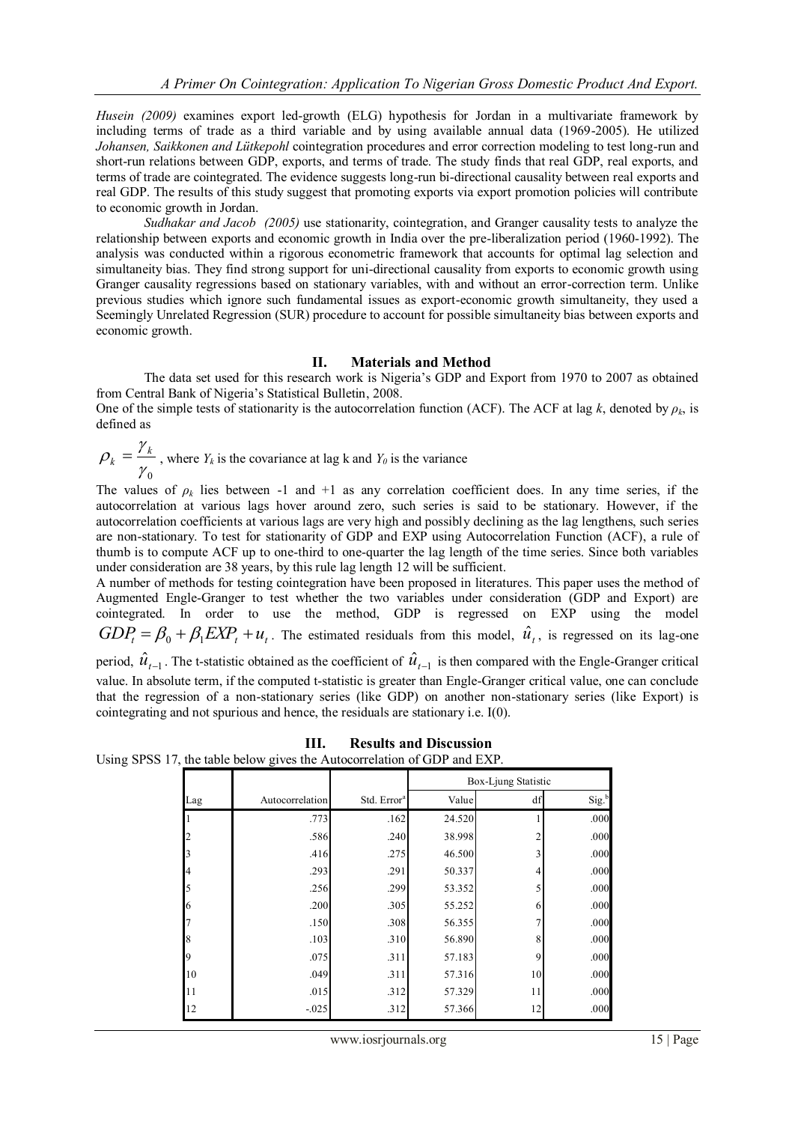*[Husein](http://findarticles.com/p/search/?qa=Husein,%20Jamal) (2009)* examines export led-growth (ELG) hypothesis for Jordan in a multivariate framework by including terms of trade as a third variable and by using available annual data (1969-2005). He utilized *Johansen, Saikkonen and Lütkepohl* cointegration procedures and error correction modeling to test long-run and short-run relations between GDP, exports, and terms of trade. The study finds that real GDP, real exports, and terms of trade are cointegrated. The evidence suggests long-run bi-directional causality between real exports and real GDP. The results of this study suggest that promoting exports via export promotion policies will contribute to economic growth in Jordan.

*[Sudhakar](http://findarticles.com/p/search/?qa=Sudhakar%20S.%20Raju) and [Jacob](http://findarticles.com/p/search/?qa=Jacob%20Kurien) (2005)* use stationarity, cointegration, and Granger causality tests to analyze the relationship between exports and economic growth in India over the pre-liberalization period (1960-1992). The analysis was conducted within a rigorous econometric framework that accounts for optimal lag selection and simultaneity bias. They find strong support for uni-directional causality from exports to economic growth using Granger causality regressions based on stationary variables, with and without an error-correction term. Unlike previous studies which ignore such fundamental issues as export-economic growth simultaneity, they used a Seemingly Unrelated Regression (SUR) procedure to account for possible simultaneity bias between exports and economic growth.

# **II. Materials and Method**

The data set used for this research work is Nigeria's GDP and Export from 1970 to 2007 as obtained from Central Bank of Nigeria's Statistical Bulletin, 2008.

One of the simple tests of stationarity is the autocorrelation function (ACF). The ACF at lag *k*, denoted by  $\rho_k$ , is defined as

$$
\rho_k = \frac{\gamma_k}{\gamma_0}
$$
, where  $Y_k$  is the covariance at lag k and  $Y_0$  is the variance

The values of  $\rho_k$  lies between -1 and +1 as any correlation coefficient does. In any time series, if the autocorrelation at various lags hover around zero, such series is said to be stationary. However, if the autocorrelation coefficients at various lags are very high and possibly declining as the lag lengthens, such series are non-stationary. To test for stationarity of GDP and EXP using Autocorrelation Function (ACF), a rule of thumb is to compute ACF up to one-third to one-quarter the lag length of the time series. Since both variables under consideration are 38 years, by this rule lag length 12 will be sufficient.

A number of methods for testing cointegration have been proposed in literatures. This paper uses the method of Augmented Engle-Granger to test whether the two variables under consideration (GDP and Export) are cointegrated. In order to use the method, GDP is regressed on EXP using the model  $GDP_t = \beta_0 + \beta_1 EXP_t + u_t$ . The estimated residuals from this model,  $\hat{u}_t$ , is regressed on its lag-one period,  $\hat{u}_{t-1}$ . The t-statistic obtained as the coefficient of  $\hat{u}_{t-1}$  is then compared with the Engle-Granger critical value. In absolute term, if the computed t-statistic is greater than Engle-Granger critical value, one can conclude that the regression of a non-stationary series (like GDP) on another non-stationary series (like Export) is cointegrating and not spurious and hence, the residuals are stationary i.e. I(0).

|     |                 |                         | Box-Ljung Statistic |    |                   |
|-----|-----------------|-------------------------|---------------------|----|-------------------|
| Lag | Autocorrelation | Std. Error <sup>a</sup> | Value               | df | Sig. <sup>b</sup> |
|     | .773            | .162                    | 24.520              |    | .000              |
|     | .586            | .240                    | 38.998              | 2  | .000              |
|     | .416            | .275                    | 46.500              | 3  | .000              |
|     | .293            | .291                    | 50.337              | 4  | .000              |
|     | .256            | .299                    | 53.352              | 5  | .000              |
| 6   | .200            | .305                    | 55.252              | 6  | .000              |
|     | .150            | .308                    | 56.355              |    | .000              |
| 8   | .103            | .310                    | 56.890              | 8  | .000              |
|     | .075            | .311                    | 57.183              | 9  | .000              |
| 10  | .049            | .311                    | 57.316              | 10 | .000              |
| 11  | .015            | .312                    | 57.329              | 11 | .000              |
| 12  | $-0.025$        | .312                    | 57.366              | 12 | .000              |

**III. Results and Discussion** Using SPSS 17, the table below gives the Autocorrelation of GDP and EXP.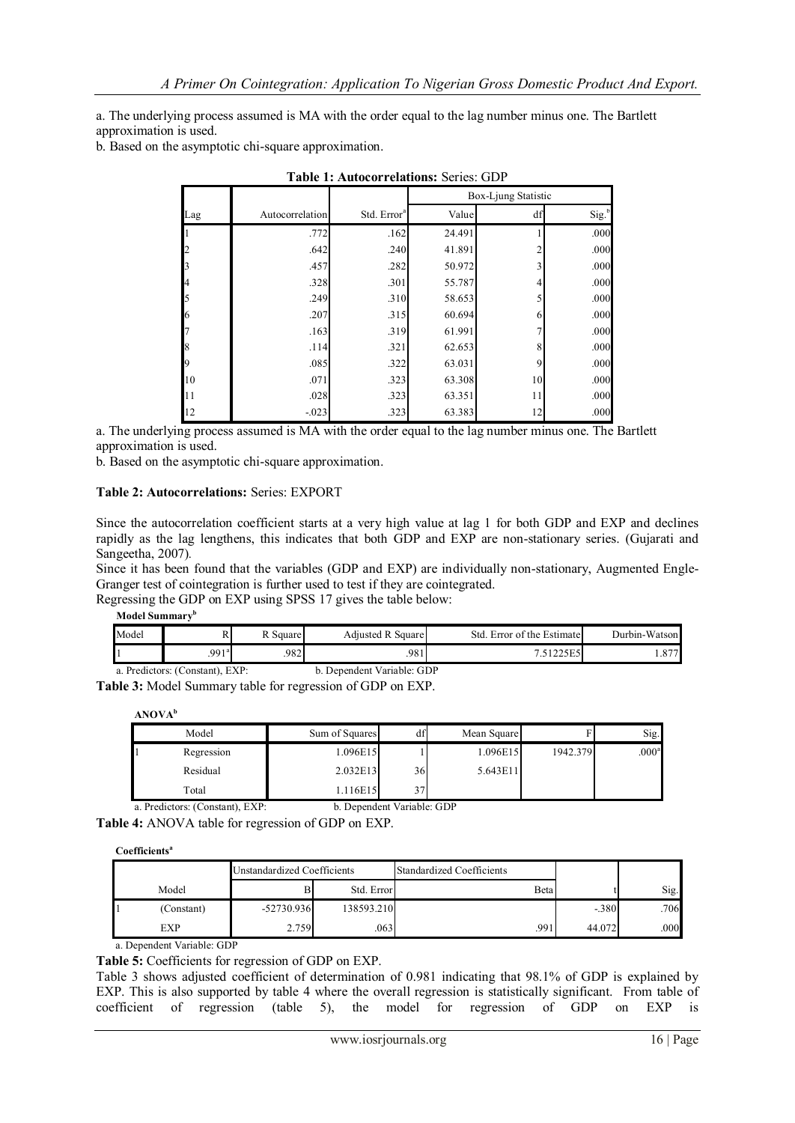a. The underlying process assumed is MA with the order equal to the lag number minus one. The Bartlett approximation is used.

b. Based on the asymptotic chi-square approximation.

|     |                 |                         |        | Box-Ljung Statistic |                   |
|-----|-----------------|-------------------------|--------|---------------------|-------------------|
| Lag | Autocorrelation | Std. Error <sup>a</sup> | Value  | df                  | Sig. <sup>b</sup> |
|     | .772            | .162                    | 24.491 |                     | .000              |
|     | .642            | .240                    | 41.891 | $\overline{2}$      | .000              |
|     | .457            | .282                    | 50.972 | 3                   | .000              |
|     | .328            | .301                    | 55.787 | 4                   | .000              |
|     | .249            | .310                    | 58.653 | 5                   | .000              |
| 6   | .207            | .315                    | 60.694 | 6                   | .000              |
|     | .163            | .319                    | 61.991 | 7                   | .000              |
|     | .114            | .321                    | 62.653 | 8                   | .000              |
|     | .085            | .322                    | 63.031 | 9                   | .000              |
| 10  | .071            | .323                    | 63.308 | 10                  | .000              |
| 11  | .028            | .323                    | 63.351 | 11                  | .000              |
| 12  | $-0.023$        | .323                    | 63.383 | 12                  | .000              |

| <b>Table 1: Autocorrelations: Series: GDP</b> |  |
|-----------------------------------------------|--|
|                                               |  |

a. The underlying process assumed is MA with the order equal to the lag number minus one. The Bartlett approximation is used.

b. Based on the asymptotic chi-square approximation.

## **Table 2: Autocorrelations:** Series: EXPORT

Since the autocorrelation coefficient starts at a very high value at lag 1 for both GDP and EXP and declines rapidly as the lag lengthens, this indicates that both GDP and EXP are non-stationary series. (Gujarati and Sangeetha, 2007)*.*

Since it has been found that the variables (GDP and EXP) are individually non-stationary, Augmented Engle-Granger test of cointegration is further used to test if they are cointegrated.

Regressing the GDP on EXP using SPSS 17 gives the table below:

**Model Summary<sup>b</sup>**

| Model                           |                | R Square | Adjusted R Square          | Std. Error of the Estimate | Durbin-Watson |
|---------------------------------|----------------|----------|----------------------------|----------------------------|---------------|
|                                 | $.991^{\circ}$ | 982      | 981                        |                            | .877          |
| a. Predictors: (Constant), EXP: |                |          | b. Dependent Variable: GDP |                            |               |

**Table 3:** Model Summary table for regression of GDP on EXP.

|  | ANOVA |  |
|--|-------|--|
|--|-------|--|

| Model      | Sum of Squares | df | Mean Square |          | Sig.              |
|------------|----------------|----|-------------|----------|-------------------|
| Regression | 1.096E15       |    | 1.096E15    | 1942.379 | .000 <sup>a</sup> |
| Residual   | 2.032E13       | 36 | 5.643E11    |          |                   |
| Total      | .116E15        | 37 |             |          |                   |

a. Predictors: (Constant), EXP: b. Dependent Variable: GDP

**Table 4:** ANOVA table for regression of GDP on EXP.

**Coefficients<sup>a</sup>**

|            | Unstandardized Coefficients |            | <b>Standardized Coefficients</b> |        |      |
|------------|-----------------------------|------------|----------------------------------|--------|------|
| Model      |                             | Std. Error | Beta                             |        | Sig. |
| (Constant) | $-52730.936$                | 138593.210 |                                  | $-380$ | 706  |
| EXP        | 2.759                       | 063        | .991                             | 44.072 | .000 |

a. Dependent Variable: GDP

**Table 5:** Coefficients for regression of GDP on EXP. Table 3 shows adjusted coefficient of determination of 0.981 indicating that 98.1% of GDP is explained by EXP. This is also supported by table 4 where the overall regression is statistically significant. From table of coefficient of regression (table 5), the model for regression of GDP on EXP is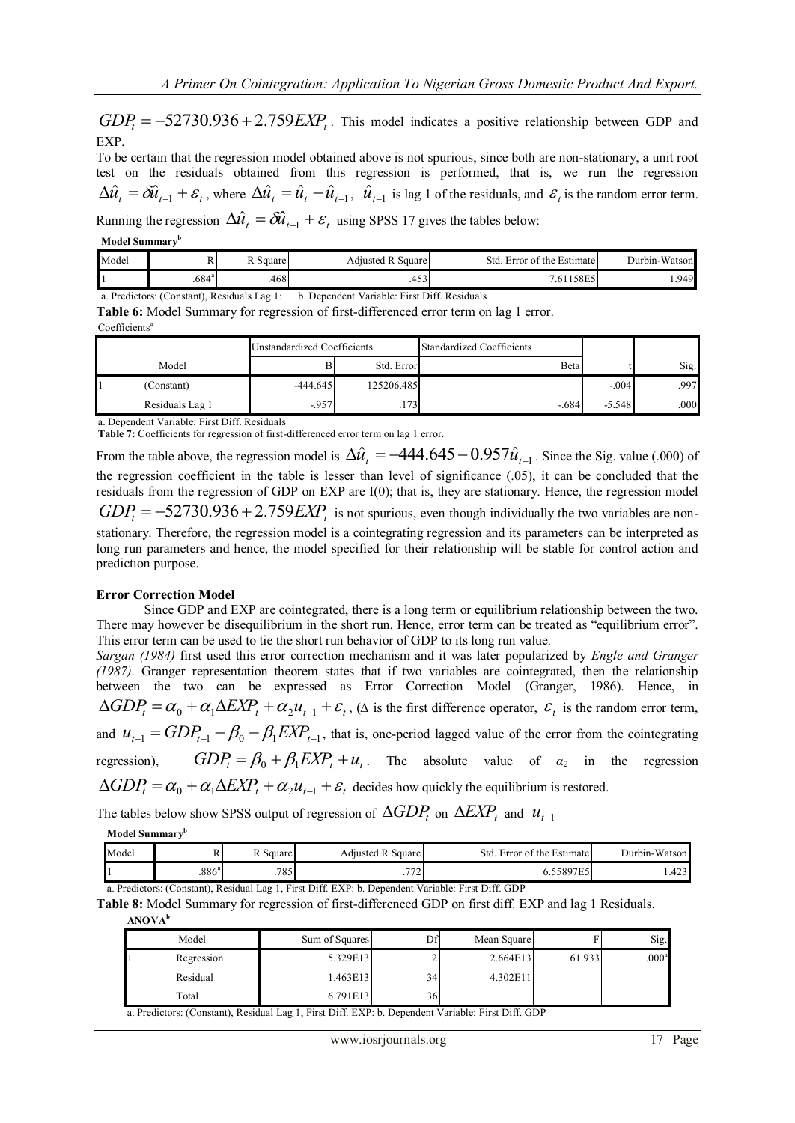$GDP<sub>t</sub> = -52730.936 + 2.759 EXP<sub>t</sub>$ . This model indicates a positive relationship between GDP and EXP.

To be certain that the regression model obtained above is not spurious, since both are non-stationary, a unit root test on the residuals obtained from this regression is performed, that is, we run the regression  $\Delta \hat{u}_t = \delta \hat{u}_{t-1} + \varepsilon_t$ , where  $\Delta \hat{u}_t = \hat{u}_t - \hat{u}_{t-1}$ ,  $\hat{u}_{t-1}$  is lag 1 of the residuals, and  $\varepsilon_t$  is the random error term.

Running the regression  $\Delta \hat{u}_t = \delta \hat{u}_{t-1} + \varepsilon_t$  using SPSS 17 gives the tables below:

#### **Model Summary<sup>b</sup>**

| Model                                                                                       |                | R Square | <b>Adiusted R Square</b> | Std. Error of the Estimate | Durbin-Watson |
|---------------------------------------------------------------------------------------------|----------------|----------|--------------------------|----------------------------|---------------|
|                                                                                             | $.684^{\circ}$ | .468I    | 453I                     | 7.61158E5                  | .949          |
| b. Dependent Variable: First Diff. Residuals<br>a. Predictors: (Constant), Residuals Lag 1: |                |          |                          |                            |               |

**Table 6:** Model Summary for regression of first-differenced error term on lag 1 error.

Coefficients<sup>a</sup>

|                 | <b>Unstandardized Coefficients</b> |            | <b>Standardized Coefficients</b> |          |      |
|-----------------|------------------------------------|------------|----------------------------------|----------|------|
| Model           |                                    | Std. Error | Beta                             |          | Sig. |
| (Constant)      | $-444.645$                         | 125206.485 |                                  | $-0.04$  | .997 |
| Residuals Lag 1 | $-957$                             | .173       | $-684$                           | $-5.548$ | .000 |

a. Dependent Variable: First Diff. Residuals

**Table 7:** Coefficients for regression of first-differenced error term on lag 1 error.

From the table above, the regression model is  $\Delta \hat{u}_t = -444.645 - 0.957 \hat{u}_{t-1}$ . Since the Sig. value (.000) of the regression coefficient in the table is lesser than level of significance (.05), it can be concluded that the residuals from the regression of GDP on EXP are I(0); that is, they are stationary. Hence, the regression model  $GDP<sub>t</sub> = -52730.936 + 2.759 \text{EXP}<sub>t</sub>$  is not spurious, even though individually the two variables are nonstationary. Therefore, the regression model is a cointegrating regression and its parameters can be interpreted as long run parameters and hence, the model specified for their relationship will be stable for control action and prediction purpose.

## **Error Correction Model**

Since GDP and EXP are cointegrated, there is a long term or equilibrium relationship between the two. There may however be disequilibrium in the short run. Hence, error term can be treated as "equilibrium error". This error term can be used to tie the short run behavior of GDP to its long run value.

*Sargan (1984)* first used this error correction mechanism and it was later popularized by *Engle and Granger (1987)*. Granger representation theorem states that if two variables are cointegrated, then the relationship between the two can be expressed as Error Correction Model (Granger, 1986). Hence, in  $\Delta GDP_t = \alpha_0 + \alpha_1 \Delta EXP_t + \alpha_2 u_{t-1} + \varepsilon_t$ , ( $\Delta$  is the first difference operator,  $\varepsilon_t$  is the random error term, and  $u_{t-1} = GDP_{t-1} - \beta_0 - \beta_1 EXP_{t-1}$ , that is, one-period lagged value of the error from the cointegrating regression),  $GDP_t = \beta_0 + \beta_1 EXP_t + u_t$ . The absolute value of  $\alpha_2$  in the regression  $\Delta GDP_t = \alpha_0 + \alpha_1 \Delta EXP_t + \alpha_2 u_{t-1} + \varepsilon_t$  decides how quickly the equilibrium is restored.

The tables below show SPSS output of regression of  $\Delta GDP_t$  on  $\Delta EXP_t$  and  $u_{t-1}$ 

## **Model Summary<sup>b</sup>**

| Model | $\overline{1}$    | Square      | D<br>Square<br>Adıusted    | $\sim$<br>Std<br>Error of the Estimate | Durbin-Watson         |
|-------|-------------------|-------------|----------------------------|----------------------------------------|-----------------------|
|       | .886 <sup>a</sup> | 705<br>۰٬۵۰ | $\overline{a}$<br>-<br>. . | 7500755<br>JOY<br>້<br>                | $\sim$<br>ы<br>1.4231 |

a. Predictors: (Constant), Residual Lag 1, First Diff. EXP: b. Dependent Variable: First Diff. GDP

**Table 8:** Model Summary for regression of first-differenced GDP on first diff. EXP and lag 1 Residuals. **ANOVA<sup>b</sup>**

| Model      | Sum of Squares | Df | Mean Square |        | Sig.              |
|------------|----------------|----|-------------|--------|-------------------|
| Regression | 5.329E13       |    | 2.664E13    | 61.933 | .000 <sup>a</sup> |
| Residual   | 1.463E13       | 34 | 4.302E11    |        |                   |
| Total      | 6.791E13       | 36 |             |        |                   |

a. Predictors: (Constant), Residual Lag 1, First Diff. EXP: b. Dependent Variable: First Diff. GDP